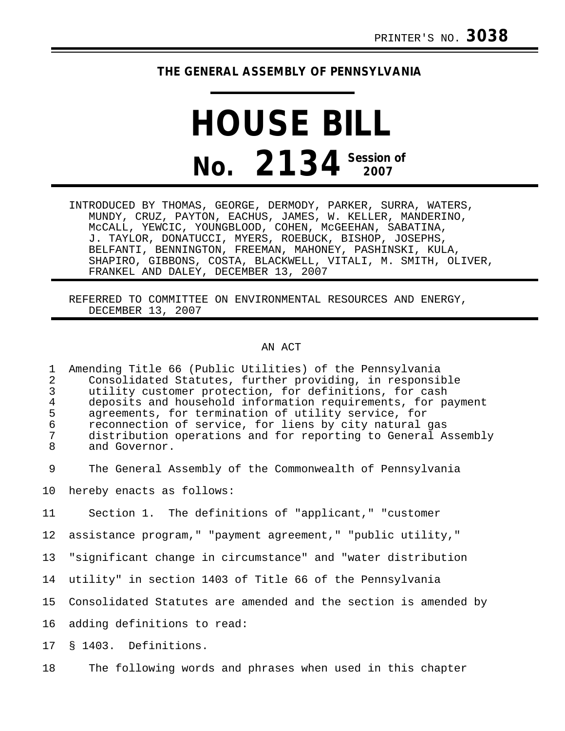## **THE GENERAL ASSEMBLY OF PENNSYLVANIA**

## **HOUSE BILL No. 2134 Session of 2007**

INTRODUCED BY THOMAS, GEORGE, DERMODY, PARKER, SURRA, WATERS, MUNDY, CRUZ, PAYTON, EACHUS, JAMES, W. KELLER, MANDERINO, McCALL, YEWCIC, YOUNGBLOOD, COHEN, McGEEHAN, SABATINA, J. TAYLOR, DONATUCCI, MYERS, ROEBUCK, BISHOP, JOSEPHS, BELFANTI, BENNINGTON, FREEMAN, MAHONEY, PASHINSKI, KULA, SHAPIRO, GIBBONS, COSTA, BLACKWELL, VITALI, M. SMITH, OLIVER, FRANKEL AND DALEY, DECEMBER 13, 2007

REFERRED TO COMMITTEE ON ENVIRONMENTAL RESOURCES AND ENERGY, DECEMBER 13, 2007

## AN ACT

1 Amending Title 66 (Public Utilities) of the Pennsylvania 2 Consolidated Statutes, further providing, in responsible<br>3 Utility customer protection, for definitions, for cash 3 utility customer protection, for definitions, for cash 4 deposits and household information requirements, for payment<br>5 agreements, for termination of utility service, for 5 agreements, for termination of utility service, for<br>6 acconnection of service, for liens by city natural 6 reconnection of service, for liens by city natural gas 7 distribution operations and for reporting to General Assembly<br>8 and Governor and Governor.

9 The General Assembly of the Commonwealth of Pennsylvania

10 hereby enacts as follows:

11 Section 1. The definitions of "applicant," "customer

12 assistance program," "payment agreement," "public utility,"

13 "significant change in circumstance" and "water distribution

14 utility" in section 1403 of Title 66 of the Pennsylvania

15 Consolidated Statutes are amended and the section is amended by

16 adding definitions to read:

17 § 1403. Definitions.

18 The following words and phrases when used in this chapter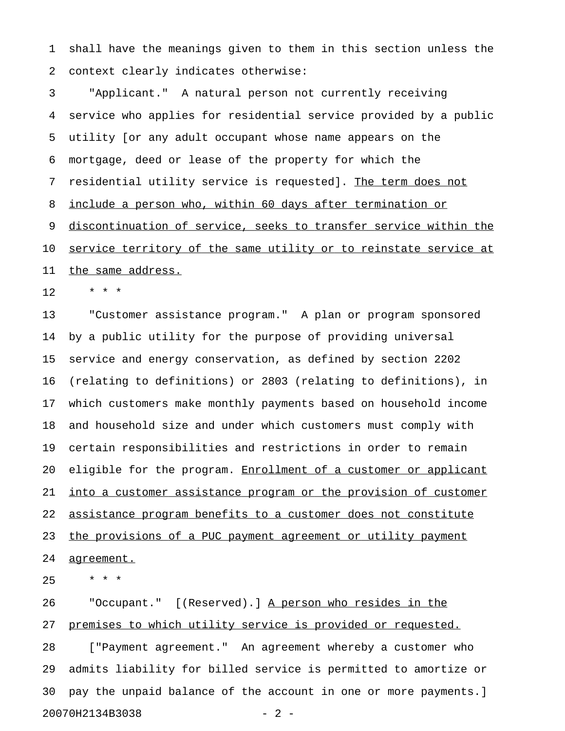1 shall have the meanings given to them in this section unless the 2 context clearly indicates otherwise:

3 "Applicant." A natural person not currently receiving 4 service who applies for residential service provided by a public 5 utility [or any adult occupant whose name appears on the 6 mortgage, deed or lease of the property for which the 7 residential utility service is requested]. The term does not 8 include a person who, within 60 days after termination or 9 discontinuation of service, seeks to transfer service within the 10 service territory of the same utility or to reinstate service at 11 the same address.

 $12 + * * *$ 

13 "Customer assistance program." A plan or program sponsored 14 by a public utility for the purpose of providing universal 15 service and energy conservation, as defined by section 2202 16 (relating to definitions) or 2803 (relating to definitions), in 17 which customers make monthly payments based on household income 18 and household size and under which customers must comply with 19 certain responsibilities and restrictions in order to remain 20 eligible for the program. Enrollment of a customer or applicant 21 into a customer assistance program or the provision of customer 22 assistance program benefits to a customer does not constitute 23 the provisions of a PUC payment agreement or utility payment 24 agreement.

 $25 + * * *$ 

26 "Occupant." [(Reserved).] A person who resides in the 27 premises to which utility service is provided or requested. 28 ["Payment agreement." An agreement whereby a customer who 29 admits liability for billed service is permitted to amortize or 30 pay the unpaid balance of the account in one or more payments.] 20070H2134B3038 - 2 -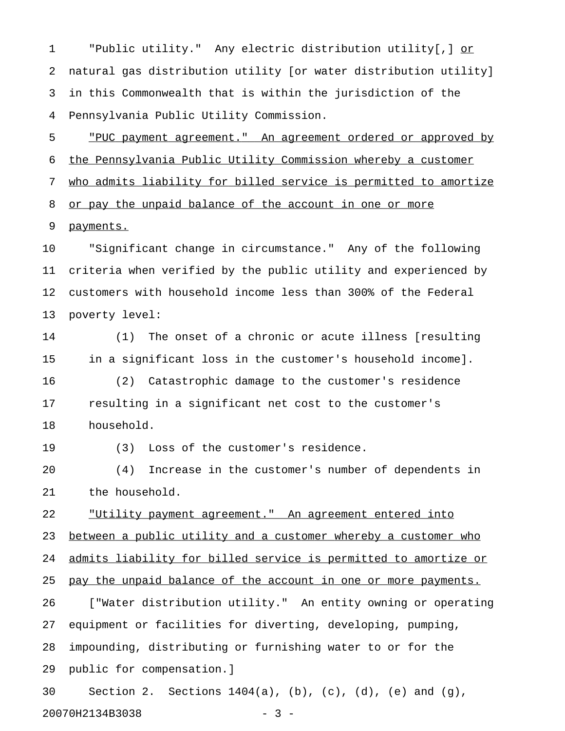1 The Public utility." Any electric distribution utility[,] or 2 natural gas distribution utility [or water distribution utility] 3 in this Commonwealth that is within the jurisdiction of the 4 Pennsylvania Public Utility Commission.

5 "PUC payment agreement." An agreement ordered or approved by 6 the Pennsylvania Public Utility Commission whereby a customer 7 who admits liability for billed service is permitted to amortize 8 or pay the unpaid balance of the account in one or more 9 payments.

10 "Significant change in circumstance." Any of the following 11 criteria when verified by the public utility and experienced by 12 customers with household income less than 300% of the Federal 13 poverty level:

14 (1) The onset of a chronic or acute illness [resulting 15 in a significant loss in the customer's household income]. 16 (2) Catastrophic damage to the customer's residence 17 resulting in a significant net cost to the customer's 18 household.

19 (3) Loss of the customer's residence.

20 (4) Increase in the customer's number of dependents in 21 the household.

22 "Utility payment agreement." An agreement entered into 23 between a public utility and a customer whereby a customer who 24 admits liability for billed service is permitted to amortize or 25 pay the unpaid balance of the account in one or more payments. 26 ["Water distribution utility." An entity owning or operating 27 equipment or facilities for diverting, developing, pumping, 28 impounding, distributing or furnishing water to or for the 29 public for compensation.]

30 Section 2. Sections 1404(a), (b), (c), (d), (e) and (g), 20070H2134B3038 - 3 -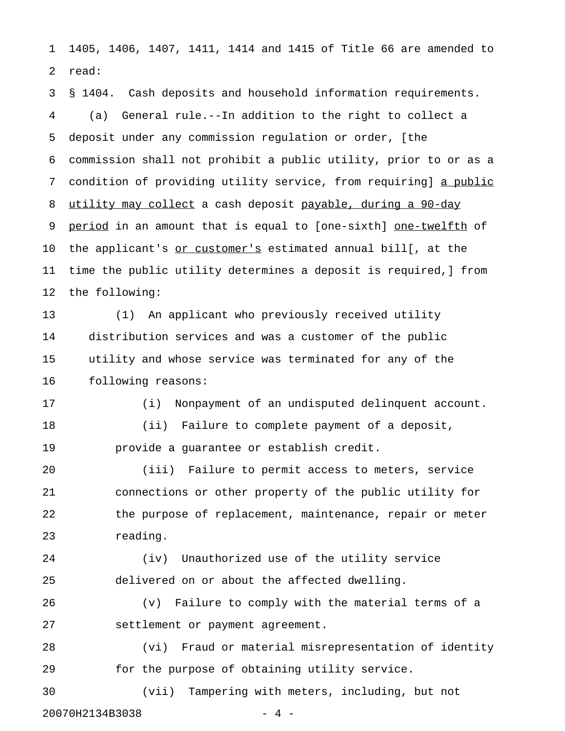1 1405, 1406, 1407, 1411, 1414 and 1415 of Title 66 are amended to 2 read:

3 § 1404. Cash deposits and household information requirements. 4 (a) General rule.--In addition to the right to collect a 5 deposit under any commission regulation or order, [the 6 commission shall not prohibit a public utility, prior to or as a 7 condition of providing utility service, from requiring] a public 8 utility may collect a cash deposit payable, during a 90-day 9 period in an amount that is equal to [one-sixth] one-twelfth of 10 the applicant's or customer's estimated annual bill[, at the 11 time the public utility determines a deposit is required,] from 12 the following:

13 (1) An applicant who previously received utility 14 distribution services and was a customer of the public 15 utility and whose service was terminated for any of the 16 following reasons:

17 (i) Nonpayment of an undisputed delinquent account. 18 (ii) Failure to complete payment of a deposit, 19 provide a guarantee or establish credit.

20 (iii) Failure to permit access to meters, service 21 connections or other property of the public utility for 22 the purpose of replacement, maintenance, repair or meter 23 reading.

24 (iv) Unauthorized use of the utility service 25 delivered on or about the affected dwelling.

26 (v) Failure to comply with the material terms of a 27 settlement or payment agreement.

28 (vi) Fraud or material misrepresentation of identity 29 for the purpose of obtaining utility service.

30 (vii) Tampering with meters, including, but not

20070H2134B3038 - 4 -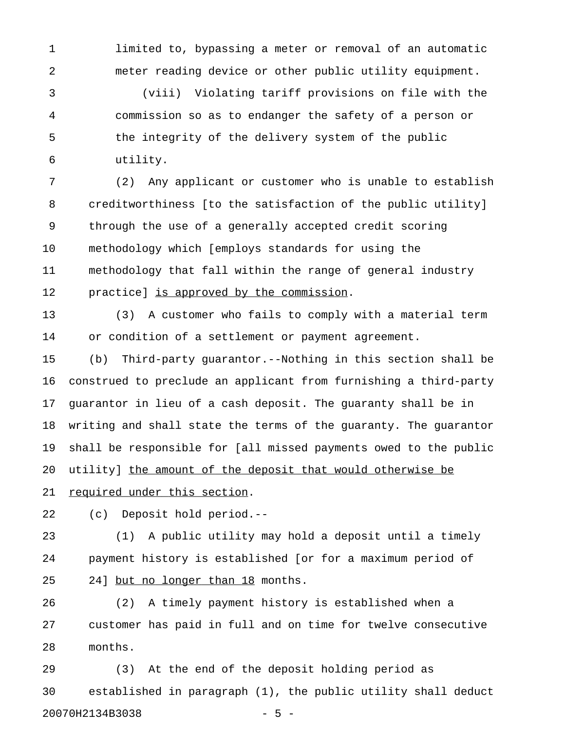1 limited to, bypassing a meter or removal of an automatic 2 meter reading device or other public utility equipment.

3 (viii) Violating tariff provisions on file with the 4 commission so as to endanger the safety of a person or 5 the integrity of the delivery system of the public 6 utility.

7 (2) Any applicant or customer who is unable to establish 8 creditworthiness [to the satisfaction of the public utility] 9 through the use of a generally accepted credit scoring 10 methodology which [employs standards for using the 11 methodology that fall within the range of general industry 12 practice] is approved by the commission.

13 (3) A customer who fails to comply with a material term 14 or condition of a settlement or payment agreement.

15 (b) Third-party guarantor.--Nothing in this section shall be 16 construed to preclude an applicant from furnishing a third-party 17 guarantor in lieu of a cash deposit. The guaranty shall be in 18 writing and shall state the terms of the guaranty. The guarantor 19 shall be responsible for [all missed payments owed to the public 20 utility] the amount of the deposit that would otherwise be

21 required under this section.

22 (c) Deposit hold period.--

23 (1) A public utility may hold a deposit until a timely 24 payment history is established [or for a maximum period of 25 24] but no longer than 18 months.

26 (2) A timely payment history is established when a 27 customer has paid in full and on time for twelve consecutive 28 months.

29 (3) At the end of the deposit holding period as 30 established in paragraph (1), the public utility shall deduct 20070H2134B3038 - 5 -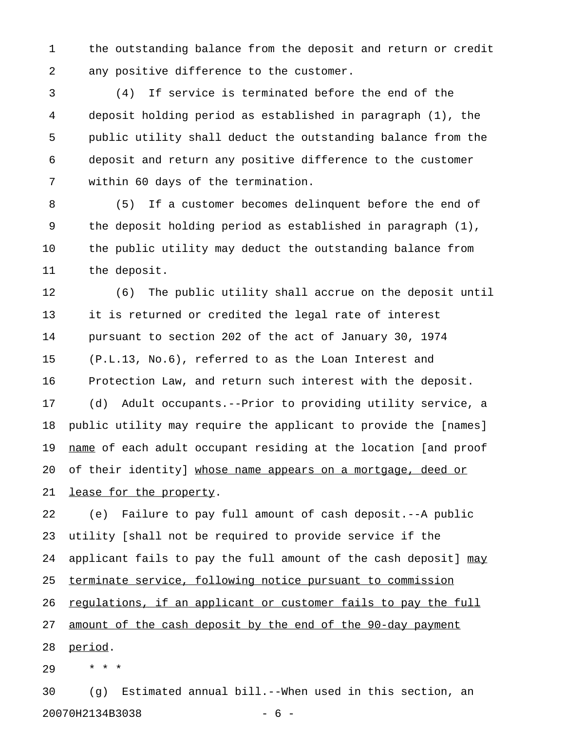1 the outstanding balance from the deposit and return or credit 2 any positive difference to the customer.

3 (4) If service is terminated before the end of the 4 deposit holding period as established in paragraph (1), the 5 public utility shall deduct the outstanding balance from the 6 deposit and return any positive difference to the customer 7 within 60 days of the termination.

8 (5) If a customer becomes delinquent before the end of 9 the deposit holding period as established in paragraph (1), 10 the public utility may deduct the outstanding balance from 11 the deposit.

12 (6) The public utility shall accrue on the deposit until 13 it is returned or credited the legal rate of interest 14 pursuant to section 202 of the act of January 30, 1974 15 (P.L.13, No.6), referred to as the Loan Interest and 16 Protection Law, and return such interest with the deposit. 17 (d) Adult occupants.--Prior to providing utility service, a

18 public utility may require the applicant to provide the [names] 19 name of each adult occupant residing at the location [and proof 20 of their identity] whose name appears on a mortgage, deed or

21 lease for the property.

22 (e) Failure to pay full amount of cash deposit.--A public 23 utility [shall not be required to provide service if the 24 applicant fails to pay the full amount of the cash deposit] may 25 terminate service, following notice pursuant to commission 26 regulations, if an applicant or customer fails to pay the full 27 <u>amount of the cash deposit by the end of the 90-day payment</u> 28 period.

29 \* \* \*

30 (g) Estimated annual bill.--When used in this section, an 20070H2134B3038 - 6 -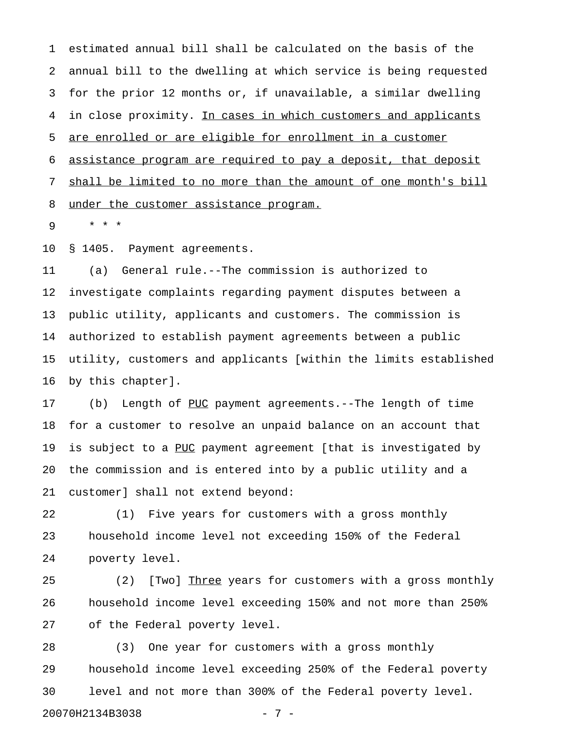1 estimated annual bill shall be calculated on the basis of the 2 annual bill to the dwelling at which service is being requested 3 for the prior 12 months or, if unavailable, a similar dwelling 4 in close proximity. In cases in which customers and applicants 5 are enrolled or are eligible for enrollment in a customer 6 assistance program are required to pay a deposit, that deposit 7 shall be limited to no more than the amount of one month's bill 8 under the customer assistance program.

9 \* \* \*

10 § 1405. Payment agreements.

11 (a) General rule.--The commission is authorized to 12 investigate complaints regarding payment disputes between a 13 public utility, applicants and customers. The commission is 14 authorized to establish payment agreements between a public 15 utility, customers and applicants [within the limits established 16 by this chapter].

17 (b) Length of PUC payment agreements.--The length of time 18 for a customer to resolve an unpaid balance on an account that 19 is subject to a PUC payment agreement [that is investigated by 20 the commission and is entered into by a public utility and a 21 customer] shall not extend beyond:

22 (1) Five years for customers with a gross monthly 23 household income level not exceeding 150% of the Federal 24 poverty level.

25 (2) [Two] Three years for customers with a gross monthly 26 household income level exceeding 150% and not more than 250% 27 of the Federal poverty level.

28 (3) One year for customers with a gross monthly 29 household income level exceeding 250% of the Federal poverty 30 level and not more than 300% of the Federal poverty level. 20070H2134B3038 - 7 -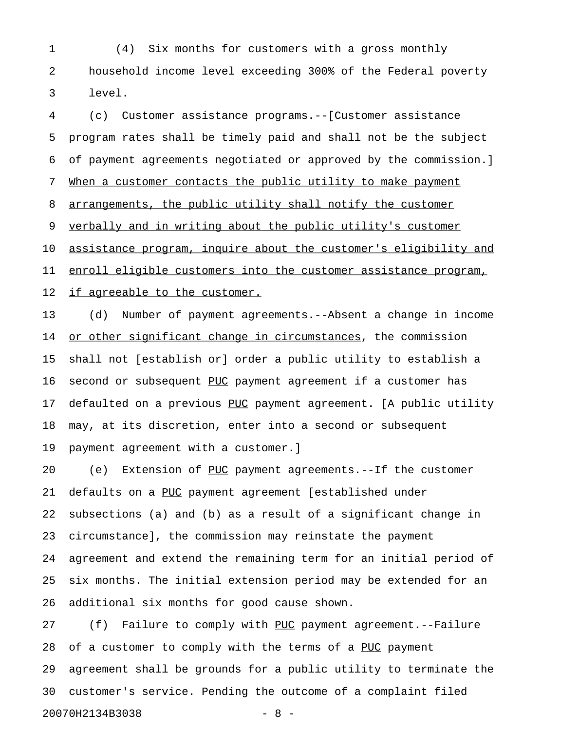1 (4) Six months for customers with a gross monthly 2 household income level exceeding 300% of the Federal poverty 3 level.

4 (c) Customer assistance programs.--[Customer assistance 5 program rates shall be timely paid and shall not be the subject 6 of payment agreements negotiated or approved by the commission.] 7 When a customer contacts the public utility to make payment 8 arrangements, the public utility shall notify the customer 9 verbally and in writing about the public utility's customer 10 assistance program, inquire about the customer's eligibility and 11 enroll eligible customers into the customer assistance program, 12 if agreeable to the customer. 13 (d) Number of payment agreements.--Absent a change in income 14 or other significant change in circumstances, the commission 15 shall not [establish or] order a public utility to establish a 16 second or subsequent PUC payment agreement if a customer has 17 defaulted on a previous PUC payment agreement. [A public utility 18 may, at its discretion, enter into a second or subsequent

19 payment agreement with a customer.]

20 (e) Extension of PUC payment agreements.--If the customer 21 defaults on a PUC payment agreement [established under 22 subsections (a) and (b) as a result of a significant change in 23 circumstance], the commission may reinstate the payment 24 agreement and extend the remaining term for an initial period of 25 six months. The initial extension period may be extended for an 26 additional six months for good cause shown.

27 (f) Failure to comply with PUC payment agreement.--Failure \_\_\_ 28 of a customer to comply with the terms of a PUC payment 29 agreement shall be grounds for a public utility to terminate the 30 customer's service. Pending the outcome of a complaint filed 20070H2134B3038 - 8 -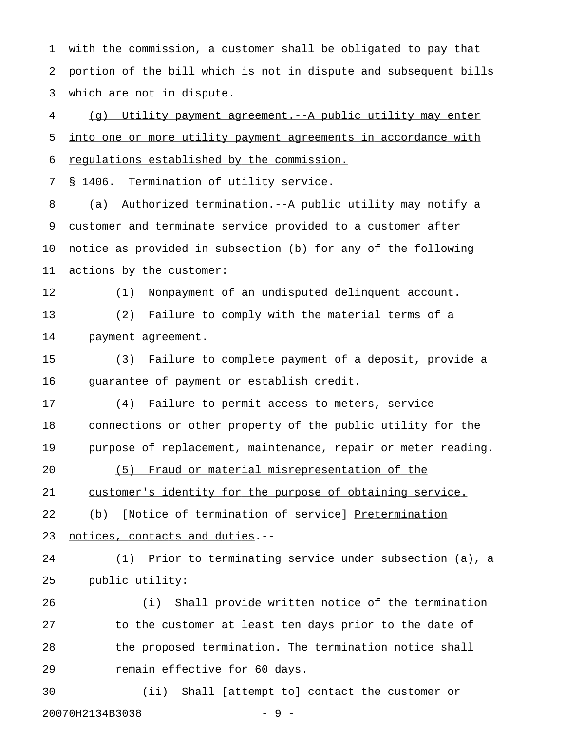1 with the commission, a customer shall be obligated to pay that 2 portion of the bill which is not in dispute and subsequent bills 3 which are not in dispute.

4 (g) Utility payment agreement.--A public utility may enter 5 into one or more utility payment agreements in accordance with 6 regulations established by the commission.

7 § 1406. Termination of utility service.

8 (a) Authorized termination.--A public utility may notify a 9 customer and terminate service provided to a customer after 10 notice as provided in subsection (b) for any of the following 11 actions by the customer:

12 (1) Nonpayment of an undisputed delinquent account. 13 (2) Failure to comply with the material terms of a

14 payment agreement.

15 (3) Failure to complete payment of a deposit, provide a 16 guarantee of payment or establish credit.

17 (4) Failure to permit access to meters, service 18 connections or other property of the public utility for the 19 purpose of replacement, maintenance, repair or meter reading.

20 (5) Fraud or material misrepresentation of the 21 customer's identity for the purpose of obtaining service. 22 (b) [Notice of termination of service] Pretermination

23 notices, contacts and duties.--

24 (1) Prior to terminating service under subsection (a), a 25 public utility:

26 (i) Shall provide written notice of the termination 27 to the customer at least ten days prior to the date of 28 the proposed termination. The termination notice shall 29 remain effective for 60 days.

30 (ii) Shall [attempt to] contact the customer or 20070H2134B3038 - 9 -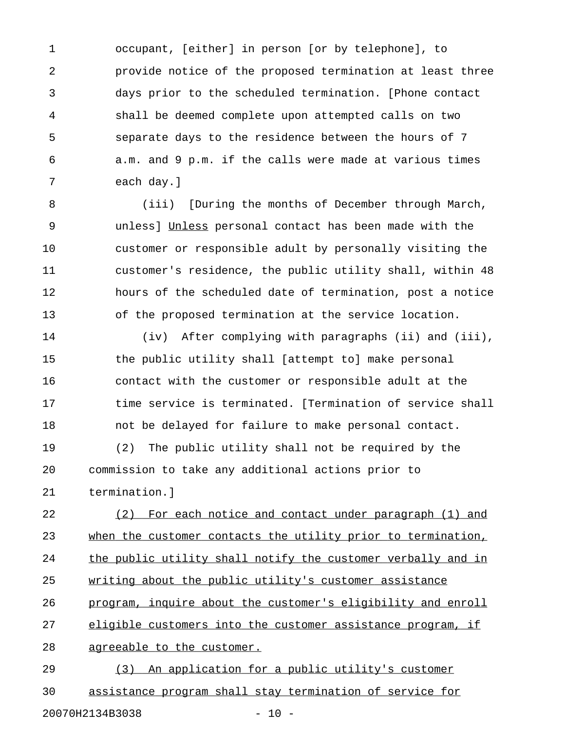1 occupant, [either] in person [or by telephone], to 2 provide notice of the proposed termination at least three 3 days prior to the scheduled termination. [Phone contact 4 shall be deemed complete upon attempted calls on two 5 separate days to the residence between the hours of 7 6 a.m. and 9 p.m. if the calls were made at various times 7 each day.]

8 (iii) [During the months of December through March, 9 unless] Unless personal contact has been made with the \_\_\_\_\_\_ 10 customer or responsible adult by personally visiting the 11 customer's residence, the public utility shall, within 48 12 hours of the scheduled date of termination, post a notice 13 of the proposed termination at the service location.

14 (iv) After complying with paragraphs (ii) and (iii), 15 the public utility shall [attempt to] make personal 16 contact with the customer or responsible adult at the 17 time service is terminated. [Termination of service shall 18 not be delayed for failure to make personal contact. 19 (2) The public utility shall not be required by the 20 commission to take any additional actions prior to 21 termination.]

22 (2) For each notice and contact under paragraph (1) and 23 when the customer contacts the utility prior to termination, 24 the public utility shall notify the customer verbally and in 25 writing about the public utility's customer assistance 26 program, inquire about the customer's eligibility and enroll 27 eligible customers into the customer assistance program, if 28 agreeable to the customer.

29 (3) An application for a public utility's customer 30 assistance program shall stay termination of service for 20070H2134B3038 - 10 -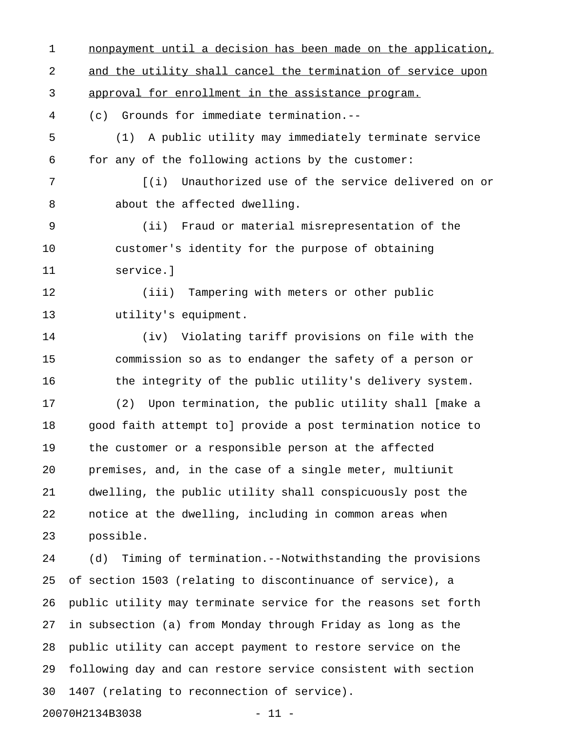1 nonpayment until a decision has been made on the application, 2 and the utility shall cancel the termination of service upon 3 approval for enrollment in the assistance program. 4 (c) Grounds for immediate termination.-- 5 (1) A public utility may immediately terminate service 6 for any of the following actions by the customer: 7 [(i) Unauthorized use of the service delivered on or 8 about the affected dwelling. 9 (ii) Fraud or material misrepresentation of the 10 customer's identity for the purpose of obtaining 11 service.] 12 (iii) Tampering with meters or other public 13 utility's equipment. 14 (iv) Violating tariff provisions on file with the 15 commission so as to endanger the safety of a person or 16 the integrity of the public utility's delivery system. 17 (2) Upon termination, the public utility shall [make a 18 good faith attempt to] provide a post termination notice to 19 the customer or a responsible person at the affected 20 premises, and, in the case of a single meter, multiunit 21 dwelling, the public utility shall conspicuously post the 22 notice at the dwelling, including in common areas when 23 possible. 24 (d) Timing of termination.--Notwithstanding the provisions 25 of section 1503 (relating to discontinuance of service), a 26 public utility may terminate service for the reasons set forth 27 in subsection (a) from Monday through Friday as long as the 28 public utility can accept payment to restore service on the 29 following day and can restore service consistent with section 30 1407 (relating to reconnection of service). 20070H2134B3038 - 11 -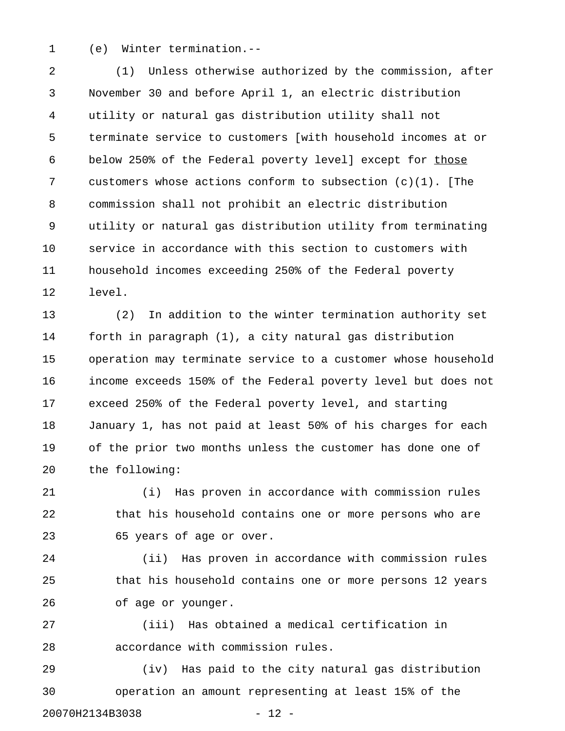1 (e) Winter termination.--

2 (1) Unless otherwise authorized by the commission, after 3 November 30 and before April 1, an electric distribution 4 utility or natural gas distribution utility shall not 5 terminate service to customers [with household incomes at or 6 below 250% of the Federal poverty level] except for those 7 customers whose actions conform to subsection (c)(1). [The 8 commission shall not prohibit an electric distribution 9 utility or natural gas distribution utility from terminating 10 service in accordance with this section to customers with 11 household incomes exceeding 250% of the Federal poverty 12 level.

13 (2) In addition to the winter termination authority set 14 forth in paragraph (1), a city natural gas distribution 15 operation may terminate service to a customer whose household 16 income exceeds 150% of the Federal poverty level but does not 17 exceed 250% of the Federal poverty level, and starting 18 January 1, has not paid at least 50% of his charges for each 19 of the prior two months unless the customer has done one of 20 the following:

21 (i) Has proven in accordance with commission rules 22 that his household contains one or more persons who are 23 65 years of age or over.

24 (ii) Has proven in accordance with commission rules 25 that his household contains one or more persons 12 years 26 of age or younger.

27 (iii) Has obtained a medical certification in 28 accordance with commission rules.

29 (iv) Has paid to the city natural gas distribution 30 operation an amount representing at least 15% of the 20070H2134B3038 - 12 -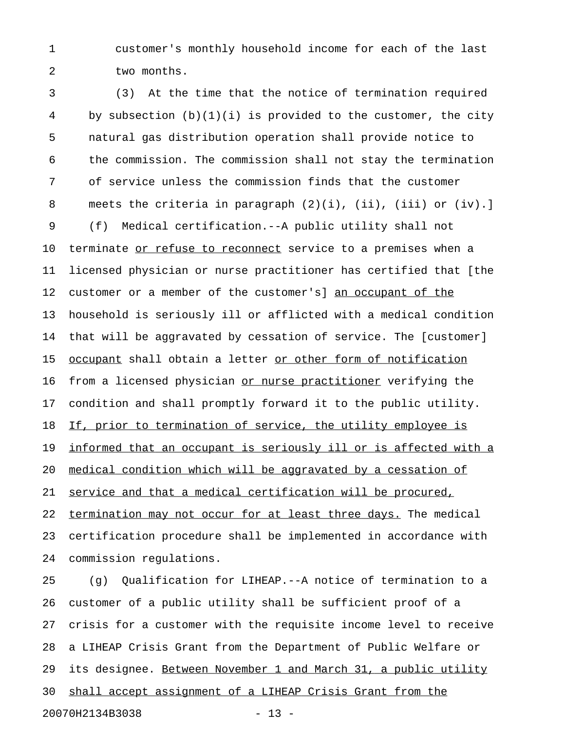1 customer's monthly household income for each of the last 2 two months.

3 (3) At the time that the notice of termination required 4 by subsection (b)(1)(i) is provided to the customer, the city 5 natural gas distribution operation shall provide notice to 6 the commission. The commission shall not stay the termination 7 of service unless the commission finds that the customer 8 meets the criteria in paragraph (2)(i), (ii), (iii) or (iv).] 9 (f) Medical certification.--A public utility shall not 10 terminate or refuse to reconnect service to a premises when a 11 licensed physician or nurse practitioner has certified that [the 12 customer or a member of the customer's] an occupant of the 13 household is seriously ill or afflicted with a medical condition 14 that will be aggravated by cessation of service. The [customer] 15 <u>occupant</u> shall obtain a letter or other form of notification 16 from a licensed physician or nurse practitioner verifying the 17 condition and shall promptly forward it to the public utility. 18 If, prior to termination of service, the utility employee is 19 informed that an occupant is seriously ill or is affected with a 20 medical condition which will be aggravated by a cessation of 21 service and that a medical certification will be procured, 22 termination may not occur for at least three days. The medical 23 certification procedure shall be implemented in accordance with 24 commission regulations.

25 (g) Qualification for LIHEAP.--A notice of termination to a 26 customer of a public utility shall be sufficient proof of a 27 crisis for a customer with the requisite income level to receive 28 a LIHEAP Crisis Grant from the Department of Public Welfare or 29 its designee. Between November 1 and March 31, a public utility 30 shall accept assignment of a LIHEAP Crisis Grant from the 20070H2134B3038 - 13 -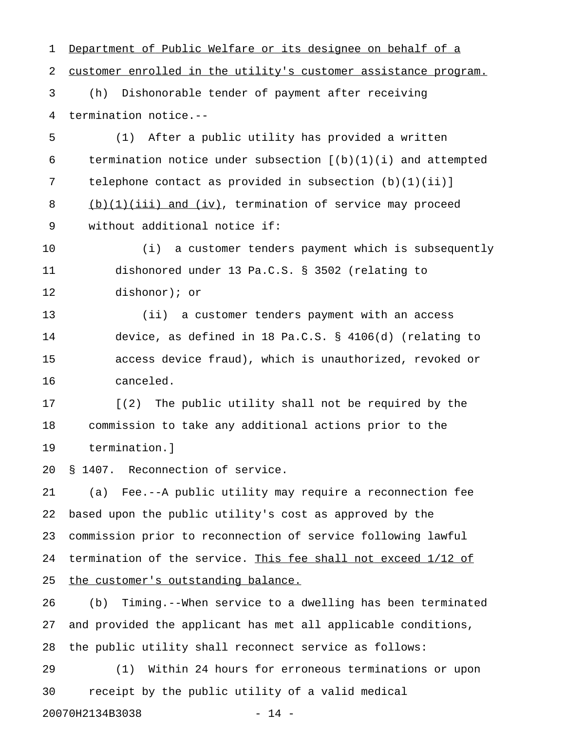1 Department of Public Welfare or its designee on behalf of a 2 customer enrolled in the utility's customer assistance program. 3 (h) Dishonorable tender of payment after receiving 4 termination notice.-- 5 (1) After a public utility has provided a written 6 termination notice under subsection  $[(b)(1)(i))$  and attempted 7 telephone contact as provided in subsection (b)(1)(ii)] 8 (b)(1)(iii) and (iv), termination of service may proceed 9 without additional notice if: 10 (i) a customer tenders payment which is subsequently 11 dishonored under 13 Pa.C.S. § 3502 (relating to 12 dishonor); or 13 (ii) a customer tenders payment with an access 14 device, as defined in 18 Pa.C.S. § 4106(d) (relating to 15 access device fraud), which is unauthorized, revoked or 16 canceled. 17 [(2) The public utility shall not be required by the 18 commission to take any additional actions prior to the 19 termination.] 20 § 1407. Reconnection of service. 21 (a) Fee.--A public utility may require a reconnection fee 22 based upon the public utility's cost as approved by the 23 commission prior to reconnection of service following lawful 24 termination of the service. This fee shall not exceed 1/12 of 25 the customer's outstanding balance. 26 (b) Timing.--When service to a dwelling has been terminated 27 and provided the applicant has met all applicable conditions, 28 the public utility shall reconnect service as follows: 29 (1) Within 24 hours for erroneous terminations or upon 30 receipt by the public utility of a valid medical 20070H2134B3038 - 14 -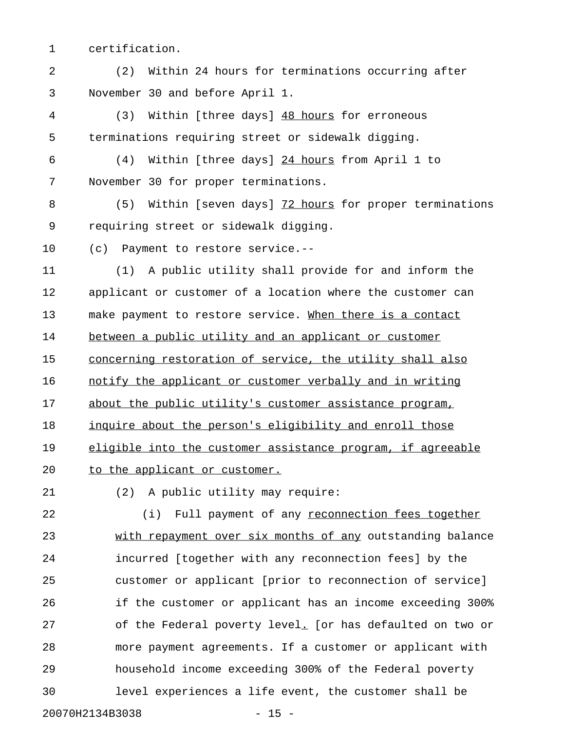1 certification.

2 (2) Within 24 hours for terminations occurring after 3 November 30 and before April 1.

4 (3) Within [three days] 48 hours for erroneous 5 terminations requiring street or sidewalk digging.

6 (4) Within [three days] 24 hours from April 1 to \_\_\_\_\_\_\_\_ 7 November 30 for proper terminations.

8 (5) Within [seven days] 72 hours for proper terminations 9 requiring street or sidewalk digging.

10 (c) Payment to restore service.--

11 (1) A public utility shall provide for and inform the 12 applicant or customer of a location where the customer can 13 make payment to restore service. When there is a contact 14 between a public utility and an applicant or customer 15 concerning restoration of service, the utility shall also 16 notify the applicant or customer verbally and in writing 17 about the public utility's customer assistance program, 18 inquire about the person's eligibility and enroll those 19 eligible into the customer assistance program, if agreeable 20 to the applicant or customer.

21 (2) A public utility may require:

22 (i) Full payment of any reconnection fees together 23 with repayment over six months of any outstanding balance 24 incurred [together with any reconnection fees] by the 25 customer or applicant [prior to reconnection of service] 26 if the customer or applicant has an income exceeding 300% 27 of the Federal poverty level. [or has defaulted on two or \_ 28 more payment agreements. If a customer or applicant with 29 household income exceeding 300% of the Federal poverty 30 level experiences a life event, the customer shall be 20070H2134B3038 - 15 -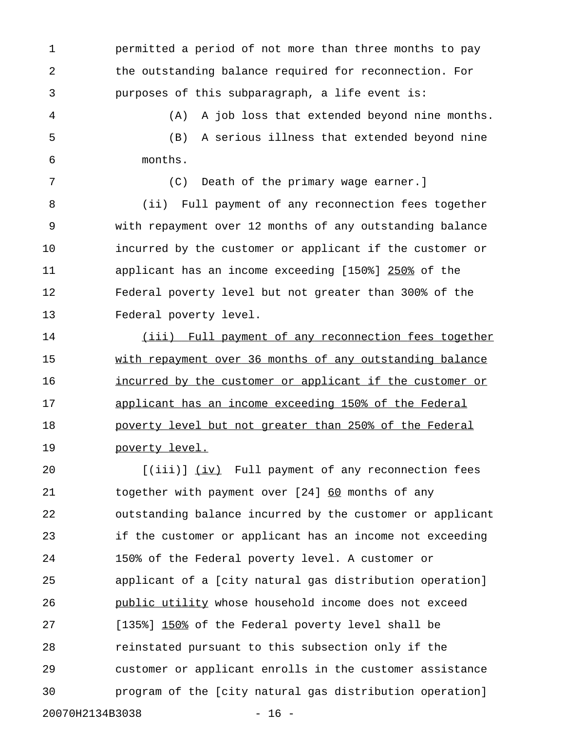1 permitted a period of not more than three months to pay 2 the outstanding balance required for reconnection. For 3 purposes of this subparagraph, a life event is:

4 (A) A job loss that extended beyond nine months. 5 (B) A serious illness that extended beyond nine 6 months.

7 (C) Death of the primary wage earner.] 8 (ii) Full payment of any reconnection fees together 9 with repayment over 12 months of any outstanding balance 10 incurred by the customer or applicant if the customer or 11 applicant has an income exceeding [150%] 250% of the 12 Federal poverty level but not greater than 300% of the 13 Federal poverty level.

14 (iii) Full payment of any reconnection fees together 15 with repayment over 36 months of any outstanding balance 16 incurred by the customer or applicant if the customer or 17 applicant has an income exceeding 150% of the Federal 18 poverty level but not greater than 250% of the Federal 19 **poverty** level.

20 [(iii)] (iv) Full payment of any reconnection fees 21 together with payment over [24] 60 months of any 22 outstanding balance incurred by the customer or applicant 23 if the customer or applicant has an income not exceeding 24 150% of the Federal poverty level. A customer or 25 applicant of a [city natural gas distribution operation] 26 **public utility whose household income does not exceed** 27 [135%] 150% of the Federal poverty level shall be 28 reinstated pursuant to this subsection only if the 29 customer or applicant enrolls in the customer assistance 30 program of the [city natural gas distribution operation]

20070H2134B3038 - 16 -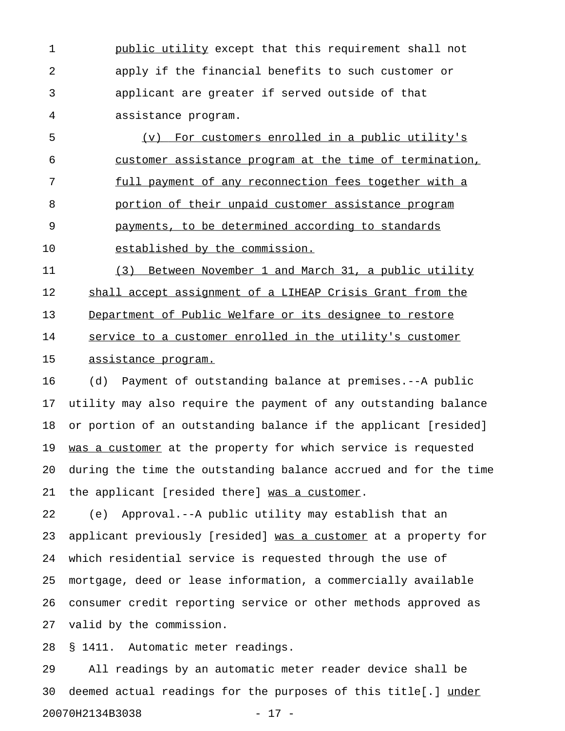1 public utility except that this requirement shall not 2 apply if the financial benefits to such customer or 3 applicant are greater if served outside of that 4 assistance program.

5 (v) For customers enrolled in a public utility's 6 customer assistance program at the time of termination, 7 full payment of any reconnection fees together with a 8 portion of their unpaid customer assistance program 9 payments, to be determined according to standards 10 established by the commission.

11 (3) Between November 1 and March 31, a public utility 12 shall accept assignment of a LIHEAP Crisis Grant from the 13 Department of Public Welfare or its designee to restore 14 service to a customer enrolled in the utility's customer 15 assistance program.

16 (d) Payment of outstanding balance at premises.--A public 17 utility may also require the payment of any outstanding balance 18 or portion of an outstanding balance if the applicant [resided] 19 was a customer at the property for which service is requested 20 during the time the outstanding balance accrued and for the time 21 the applicant [resided there] was a customer.

22 (e) Approval.--A public utility may establish that an 23 applicant previously [resided] was a customer at a property for 24 which residential service is requested through the use of 25 mortgage, deed or lease information, a commercially available 26 consumer credit reporting service or other methods approved as 27 valid by the commission.

28 § 1411. Automatic meter readings.

29 All readings by an automatic meter reader device shall be 30 deemed actual readings for the purposes of this title[.] under \_\_\_\_\_ 20070H2134B3038 - 17 -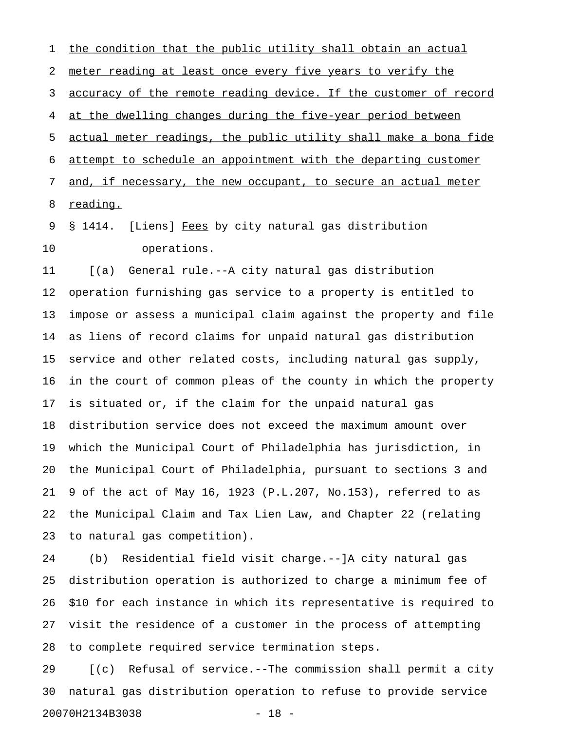1 the condition that the public utility shall obtain an actual 2 meter reading at least once every five years to verify the 3 accuracy of the remote reading device. If the customer of record 4 at the dwelling changes during the five-year period between 5 actual meter readings, the public utility shall make a bona fide  $6$  attempt to schedule an appointment with the departing customer 7 and, if necessary, the new occupant, to secure an actual meter 8 reading.

9 § 1414. [Liens] Fees by city natural gas distribution 10 operations.

11 [(a) General rule.--A city natural gas distribution 12 operation furnishing gas service to a property is entitled to 13 impose or assess a municipal claim against the property and file 14 as liens of record claims for unpaid natural gas distribution 15 service and other related costs, including natural gas supply, 16 in the court of common pleas of the county in which the property 17 is situated or, if the claim for the unpaid natural gas 18 distribution service does not exceed the maximum amount over 19 which the Municipal Court of Philadelphia has jurisdiction, in 20 the Municipal Court of Philadelphia, pursuant to sections 3 and 21 9 of the act of May 16, 1923 (P.L.207, No.153), referred to as 22 the Municipal Claim and Tax Lien Law, and Chapter 22 (relating 23 to natural gas competition).

24 (b) Residential field visit charge.--]A city natural gas 25 distribution operation is authorized to charge a minimum fee of 26 \$10 for each instance in which its representative is required to 27 visit the residence of a customer in the process of attempting 28 to complete required service termination steps.

29 [(c) Refusal of service.--The commission shall permit a city 30 natural gas distribution operation to refuse to provide service 20070H2134B3038 - 18 -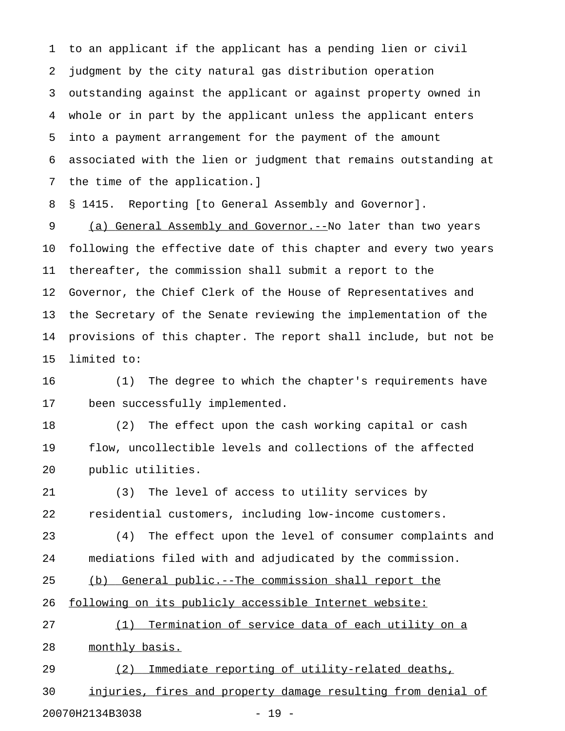1 to an applicant if the applicant has a pending lien or civil 2 judgment by the city natural gas distribution operation 3 outstanding against the applicant or against property owned in 4 whole or in part by the applicant unless the applicant enters 5 into a payment arrangement for the payment of the amount 6 associated with the lien or judgment that remains outstanding at 7 the time of the application.]

8 § 1415. Reporting [to General Assembly and Governor].

9 (a) General Assembly and Governor.--No later than two years 10 following the effective date of this chapter and every two years 11 thereafter, the commission shall submit a report to the 12 Governor, the Chief Clerk of the House of Representatives and 13 the Secretary of the Senate reviewing the implementation of the 14 provisions of this chapter. The report shall include, but not be 15 limited to:

16 (1) The degree to which the chapter's requirements have 17 been successfully implemented.

18 (2) The effect upon the cash working capital or cash 19 flow, uncollectible levels and collections of the affected 20 public utilities.

21 (3) The level of access to utility services by 22 residential customers, including low-income customers.

23 (4) The effect upon the level of consumer complaints and 24 mediations filed with and adjudicated by the commission.

25 (b) General public.--The commission shall report the

26 following on its publicly accessible Internet website:

27 (1) Termination of service data of each utility on a 28 monthly basis.

29 (2) Immediate reporting of utility-related deaths, 30 injuries, fires and property damage resulting from denial of

20070H2134B3038 - 19 -